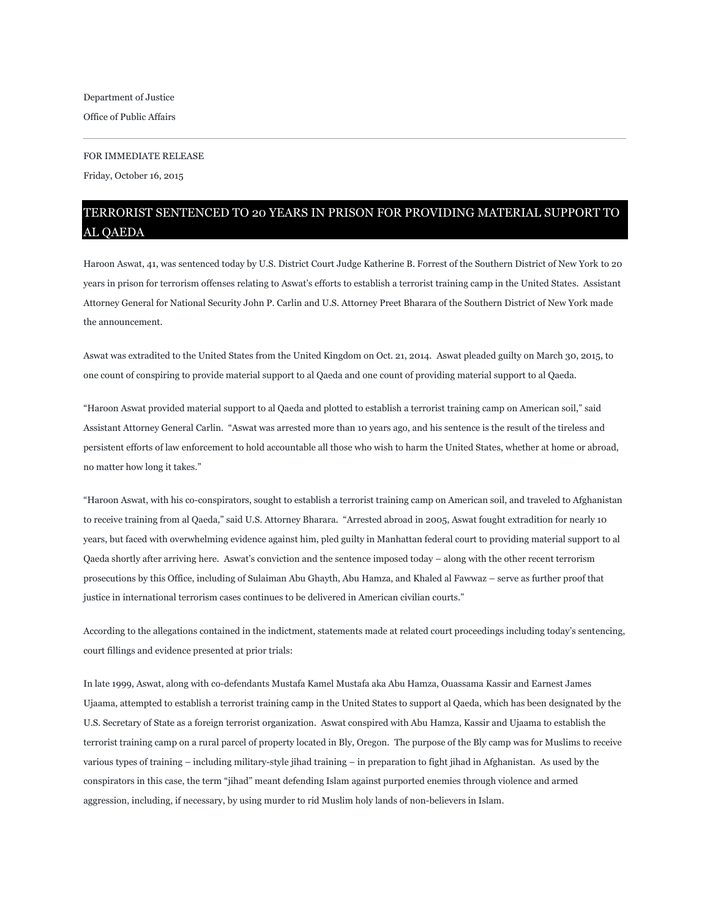## FOR IMMEDIATE RELEASE

Friday, October 16, 2015

## TERRORIST SENTENCED TO 20 YEARS IN PRISON FOR PROVIDING MATERIAL SUPPORT TO AL QAEDA

Haroon Aswat, 41, was sentenced today by U.S. District Court Judge Katherine B. Forrest of the Southern District of New York to 20 years in prison for terrorism offenses relating to Aswat's efforts to establish a terrorist training camp in the United States. Assistant Attorney General for National Security John P. Carlin and U.S. Attorney Preet Bharara of the Southern District of New York made the announcement.

Aswat was extradited to the United States from the United Kingdom on Oct. 21, 2014. Aswat pleaded guilty on March 30, 2015, to one count of conspiring to provide material support to al Qaeda and one count of providing material support to al Qaeda.

"Haroon Aswat provided material support to al Qaeda and plotted to establish a terrorist training camp on American soil," said Assistant Attorney General Carlin. "Aswat was arrested more than 10 years ago, and his sentence is the result of the tireless and persistent efforts of law enforcement to hold accountable all those who wish to harm the United States, whether at home or abroad, no matter how long it takes."

"Haroon Aswat, with his co-conspirators, sought to establish a terrorist training camp on American soil, and traveled to Afghanistan to receive training from al Qaeda," said U.S. Attorney Bharara. "Arrested abroad in 2005, Aswat fought extradition for nearly 10 years, but faced with overwhelming evidence against him, pled guilty in Manhattan federal court to providing material support to al Qaeda shortly after arriving here. Aswat's conviction and the sentence imposed today – along with the other recent terrorism prosecutions by this Office, including of Sulaiman Abu Ghayth, Abu Hamza, and Khaled al Fawwaz – serve as further proof that justice in international terrorism cases continues to be delivered in American civilian courts."

According to the allegations contained in the indictment, statements made at related court proceedings including today's sentencing, court fillings and evidence presented at prior trials:

In late 1999, Aswat, along with co-defendants Mustafa Kamel Mustafa aka Abu Hamza, Ouassama Kassir and Earnest James Ujaama, attempted to establish a terrorist training camp in the United States to support al Qaeda, which has been designated by the U.S. Secretary of State as a foreign terrorist organization. Aswat conspired with Abu Hamza, Kassir and Ujaama to establish the terrorist training camp on a rural parcel of property located in Bly, Oregon. The purpose of the Bly camp was for Muslims to receive various types of training – including military-style jihad training – in preparation to fight jihad in Afghanistan. As used by the conspirators in this case, the term "jihad" meant defending Islam against purported enemies through violence and armed aggression, including, if necessary, by using murder to rid Muslim holy lands of non-believers in Islam.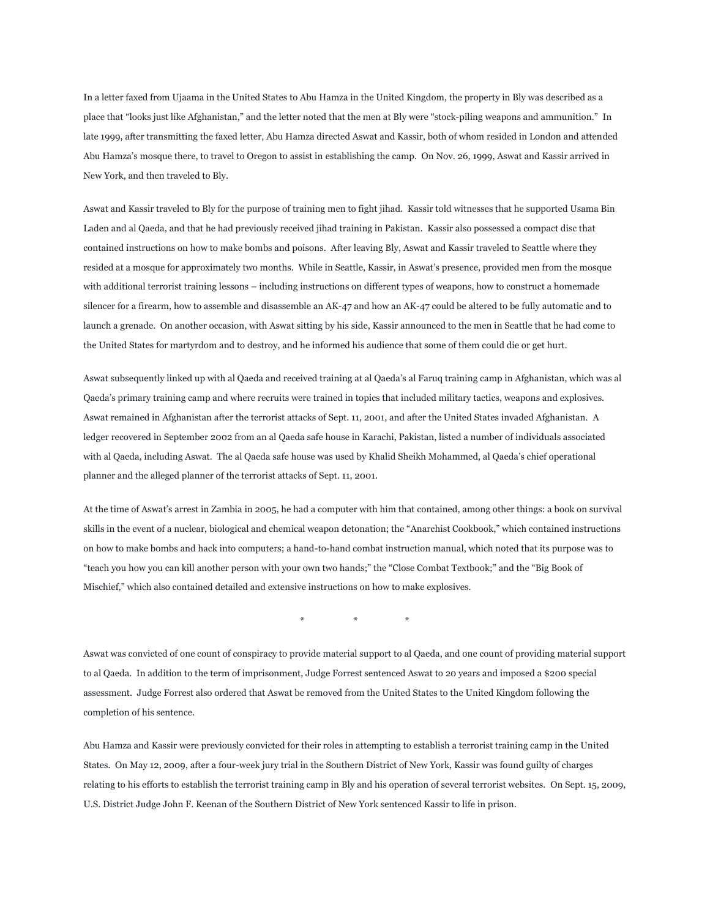In a letter faxed from Ujaama in the United States to Abu Hamza in the United Kingdom, the property in Bly was described as a place that "looks just like Afghanistan," and the letter noted that the men at Bly were "stock-piling weapons and ammunition." In late 1999, after transmitting the faxed letter, Abu Hamza directed Aswat and Kassir, both of whom resided in London and attended Abu Hamza's mosque there, to travel to Oregon to assist in establishing the camp. On Nov. 26, 1999, Aswat and Kassir arrived in New York, and then traveled to Bly.

Aswat and Kassir traveled to Bly for the purpose of training men to fight jihad. Kassir told witnesses that he supported Usama Bin Laden and al Qaeda, and that he had previously received jihad training in Pakistan. Kassir also possessed a compact disc that contained instructions on how to make bombs and poisons. After leaving Bly, Aswat and Kassir traveled to Seattle where they resided at a mosque for approximately two months. While in Seattle, Kassir, in Aswat's presence, provided men from the mosque with additional terrorist training lessons – including instructions on different types of weapons, how to construct a homemade silencer for a firearm, how to assemble and disassemble an AK-47 and how an AK-47 could be altered to be fully automatic and to launch a grenade. On another occasion, with Aswat sitting by his side, Kassir announced to the men in Seattle that he had come to the United States for martyrdom and to destroy, and he informed his audience that some of them could die or get hurt.

Aswat subsequently linked up with al Qaeda and received training at al Qaeda's al Faruq training camp in Afghanistan, which was al Qaeda's primary training camp and where recruits were trained in topics that included military tactics, weapons and explosives. Aswat remained in Afghanistan after the terrorist attacks of Sept. 11, 2001, and after the United States invaded Afghanistan. A ledger recovered in September 2002 from an al Qaeda safe house in Karachi, Pakistan, listed a number of individuals associated with al Qaeda, including Aswat. The al Qaeda safe house was used by Khalid Sheikh Mohammed, al Qaeda's chief operational planner and the alleged planner of the terrorist attacks of Sept. 11, 2001.

At the time of Aswat's arrest in Zambia in 2005, he had a computer with him that contained, among other things: a book on survival skills in the event of a nuclear, biological and chemical weapon detonation; the "Anarchist Cookbook," which contained instructions on how to make bombs and hack into computers; a hand-to-hand combat instruction manual, which noted that its purpose was to "teach you how you can kill another person with your own two hands;" the "Close Combat Textbook;" and the "Big Book of Mischief," which also contained detailed and extensive instructions on how to make explosives.

\* \* \*

Aswat was convicted of one count of conspiracy to provide material support to al Qaeda, and one count of providing material support to al Qaeda. In addition to the term of imprisonment, Judge Forrest sentenced Aswat to 20 years and imposed a \$200 special assessment. Judge Forrest also ordered that Aswat be removed from the United States to the United Kingdom following the completion of his sentence.

Abu Hamza and Kassir were previously convicted for their roles in attempting to establish a terrorist training camp in the United States. On May 12, 2009, after a four-week jury trial in the Southern District of New York, Kassir was found guilty of charges relating to his efforts to establish the terrorist training camp in Bly and his operation of several terrorist websites. On Sept. 15, 2009, U.S. District Judge John F. Keenan of the Southern District of New York sentenced Kassir to life in prison.